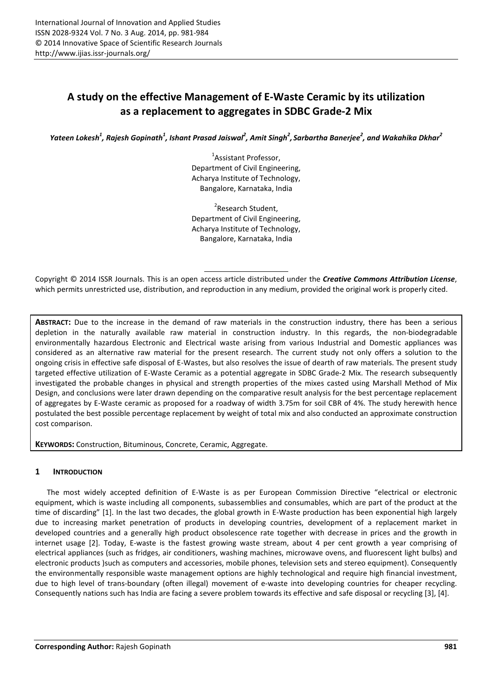# **A study on the effective Management of E-Waste Ceramic by its utilization as a replacement to aggregates in SDBC Grade-2 Mix**

Yateen Lokesh<sup>1</sup>, Rajesh Gopinath<sup>1</sup>, Ishant Prasad Jaiswal<sup>2</sup>, Amit Singh<sup>2</sup>, Sarbartha Banerjee<sup>2</sup>, and Wakahika Dkhar<sup>2</sup>

<sup>1</sup>Assistant Professor, Department of Civil Engineering, Acharya Institute of Technology, Bangalore, Karnataka, India

<sup>2</sup>Research Student, Department of Civil Engineering, Acharya Institute of Technology, Bangalore, Karnataka, India

Copyright © 2014 ISSR Journals. This is an open access article distributed under the *Creative Commons Attribution License*, which permits unrestricted use, distribution, and reproduction in any medium, provided the original work is properly cited.

**ABSTRACT:** Due to the increase in the demand of raw materials in the construction industry, there has been a serious depletion in the naturally available raw material in construction industry. In this regards, the non-biodegradable environmentally hazardous Electronic and Electrical waste arising from various Industrial and Domestic appliances was considered as an alternative raw material for the present research. The current study not only offers a solution to the ongoing crisis in effective safe disposal of E-Wastes, but also resolves the issue of dearth of raw materials. The present study targeted effective utilization of E-Waste Ceramic as a potential aggregate in SDBC Grade-2 Mix. The research subsequently investigated the probable changes in physical and strength properties of the mixes casted using Marshall Method of Mix Design, and conclusions were later drawn depending on the comparative result analysis for the best percentage replacement of aggregates by E-Waste ceramic as proposed for a roadway of width 3.75m for soil CBR of 4%. The study herewith hence postulated the best possible percentage replacement by weight of total mix and also conducted an approximate construction cost comparison.

**KEYWORDS:** Construction, Bituminous, Concrete, Ceramic, Aggregate.

# **1 INTRODUCTION**

The most widely accepted definition of E-Waste is as per European Commission Directive "electrical or electronic equipment, which is waste including all components, subassemblies and consumables, which are part of the product at the time of discarding" [1]. In the last two decades, the global growth in E-Waste production has been exponential high largely due to increasing market penetration of products in developing countries, development of a replacement market in developed countries and a generally high product obsolescence rate together with decrease in prices and the growth in internet usage [2]. Today, E-waste is the fastest growing waste stream, about 4 per cent growth a year comprising of electrical appliances (such as fridges, air conditioners, washing machines, microwave ovens, and fluorescent light bulbs) and electronic products )such as computers and accessories, mobile phones, television sets and stereo equipment). Consequently the environmentally responsible waste management options are highly technological and require high financial investment, due to high level of trans-boundary (often illegal) movement of e-waste into developing countries for cheaper recycling. Consequently nations such has India are facing a severe problem towards its effective and safe disposal or recycling [3], [4].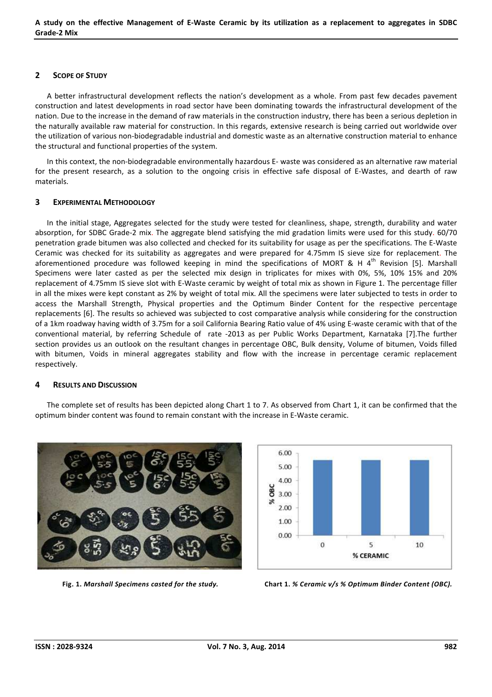#### **2 SCOPE OF STUDY**

A better infrastructural development reflects the nation's development as a whole. From past few decades pavement construction and latest developments in road sector have been dominating towards the infrastructural development of the nation. Due to the increase in the demand of raw materials in the construction industry, there has been a serious depletion in the naturally available raw material for construction. In this regards, extensive research is being carried out worldwide over the utilization of various non-biodegradable industrial and domestic waste as an alternative construction material to enhance the structural and functional properties of the system.

In this context, the non-biodegradable environmentally hazardous E- waste was considered as an alternative raw material for the present research, as a solution to the ongoing crisis in effective safe disposal of E-Wastes, and dearth of raw materials.

#### **3 EXPERIMENTAL METHODOLOGY**

In the initial stage, Aggregates selected for the study were tested for cleanliness, shape, strength, durability and water absorption, for SDBC Grade-2 mix. The aggregate blend satisfying the mid gradation limits were used for this study. 60/70 penetration grade bitumen was also collected and checked for its suitability for usage as per the specifications. The E-Waste Ceramic was checked for its suitability as aggregates and were prepared for 4.75mm IS sieve size for replacement. The aforementioned procedure was followed keeping in mind the specifications of MORT & H  $4^{\text{th}}$  Revision [5]. Marshall Specimens were later casted as per the selected mix design in triplicates for mixes with 0%, 5%, 10% 15% and 20% replacement of 4.75mm IS sieve slot with E-Waste ceramic by weight of total mix as shown in Figure 1. The percentage filler in all the mixes were kept constant as 2% by weight of total mix. All the specimens were later subjected to tests in order to access the Marshall Strength, Physical properties and the Optimum Binder Content for the respective percentage replacements [6]. The results so achieved was subjected to cost comparative analysis while considering for the construction of a 1km roadway having width of 3.75m for a soil California Bearing Ratio value of 4% using E-waste ceramic with that of the conventional material, by referring Schedule of rate -2013 as per Public Works Department, Karnataka [7].The further section provides us an outlook on the resultant changes in percentage OBC, Bulk density, Volume of bitumen, Voids filled with bitumen, Voids in mineral aggregates stability and flow with the increase in percentage ceramic replacement respectively.

#### **4 RESULTS AND DISCUSSION**

The complete set of results has been depicted along Chart 1 to 7. As observed from Chart 1, it can be confirmed that the optimum binder content was found to remain constant with the increase in E-Waste ceramic.





 **Fig. 1.** *Marshall Specimens casted for the study.* **Chart 1.** *% Ceramic v/s % Optimum Binder Content (OBC).*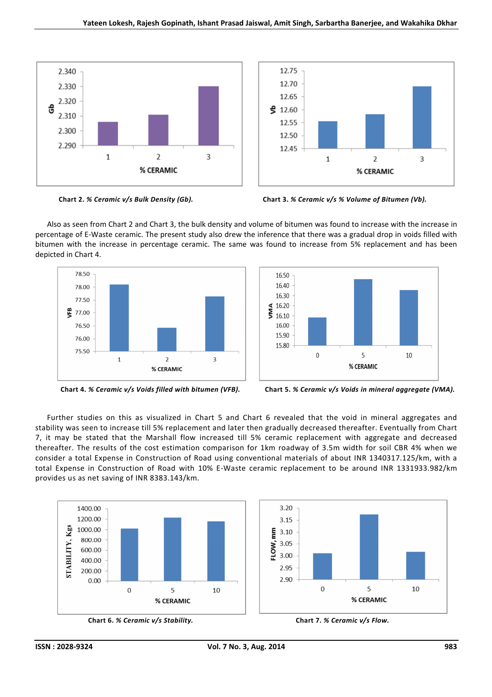



**Chart 2.** *% Ceramic v/s Bulk Density (Gb).* **Chart 3.** *% Ceramic v/s % Volume of Bitumen (Vb).* 

Also as seen from Chart 2 and Chart 3, the bulk density and volume of bitumen was found to increase with the increase in percentage of E-Waste ceramic. The present study also drew the inference that there was a gradual drop in voids filled with bitumen with the increase in percentage ceramic. The same was found to increase from 5% replacement and has been depicted in Chart 4.





 **Chart 4.** *% Ceramic v/s Voids filled with bitumen (VFB).* **Chart 5.** *% Ceramic v/s Voids in mineral aggregate (VMA).* 

Further studies on this as visualized in Chart 5 and Chart 6 revealed that the void in mineral aggregates and stability was seen to increase till 5% replacement and later then gradually decreased thereafter. Eventually from Chart 7, it may be stated that the Marshall flow increased till 5% ceramic replacement with aggregate and decreased thereafter. The results of the cost estimation comparison for 1km roadway of 3.5m width for soil CBR 4% when we consider a total Expense in Construction of Road using conventional materials of about INR 1340317.125/km, with a total Expense in Construction of Road with 10% E-Waste ceramic replacement to be around INR 1331933.982/km provides us as net saving of INR 8383.143/km.